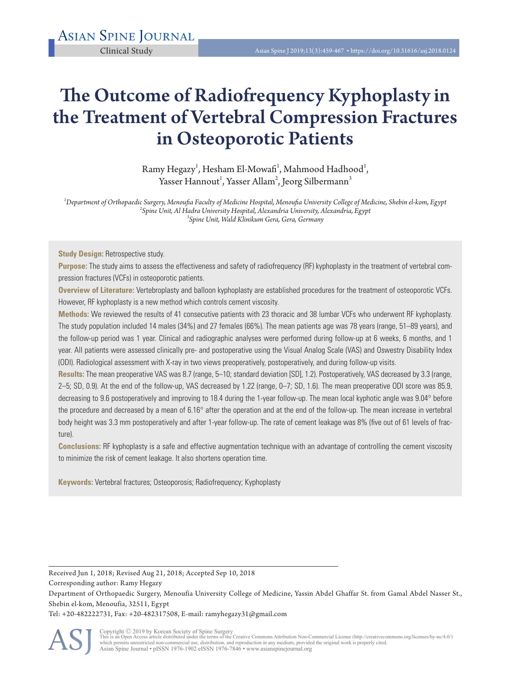# The Outcome of Radiofrequency Kyphoplasty in the Treatment of Vertebral Compression Fractures in Osteoporotic Patients

Ramy Hegazy<sup>1</sup>, Hesham El-Mowafi<sup>1</sup>, Mahmood Hadhood<sup>1</sup>, Yasser Hannout $^{\rm l}$ , Yasser Allam $^{\rm 2}$ , Jeorg Silbermann $^{\rm 3}$ 

*1 Department of Orthopaedic Surgery, Menoufia Faculty of Medicine Hospital, Menoufia University College of Medicine, Shebin el-kom, Egypt <sup>2</sup> Spine Unit, Al Hadra University Hospital, Alexandria University, Alexandria, Egypt <sup>3</sup> Spine Unit, Wald Klinikum Gera, Gera, Germany* 

**Study Design: Retrospective study.** 

**Purpose:** The study aims to assess the effectiveness and safety of radiofrequency (RF) kyphoplasty in the treatment of vertebral compression fractures (VCFs) in osteoporotic patients.

**Overview of Literature:** Vertebroplasty and balloon kyphoplasty are established procedures for the treatment of osteoporotic VCFs. However, RF kyphoplasty is a new method which controls cement viscosity.

**Methods:** We reviewed the results of 41 consecutive patients with 23 thoracic and 38 lumbar VCFs who underwent RF kyphoplasty. The study population included 14 males (34%) and 27 females (66%). The mean patients age was 78 years (range, 51–89 years), and the follow-up period was 1 year. Clinical and radiographic analyses were performed during follow-up at 6 weeks, 6 months, and 1 year. All patients were assessed clinically pre- and postoperative using the Visual Analog Scale (VAS) and Oswestry Disability Index (ODI). Radiological assessment with X-ray in two views preoperatively, postoperatively, and during follow-up visits.

**Results:** The mean preoperative VAS was 8.7 (range, 5–10; standard deviation [SD], 1.2). Postoperatively, VAS decreased by 3.3 (range, 2–5; SD, 0.9). At the end of the follow-up, VAS decreased by 1.22 (range, 0–7; SD, 1.6). The mean preoperative ODI score was 85.9, decreasing to 9.6 postoperatively and improving to 18.4 during the 1-year follow-up. The mean local kyphotic angle was 9.04° before the procedure and decreased by a mean of 6.16° after the operation and at the end of the follow-up. The mean increase in vertebral body height was 3.3 mm postoperatively and after 1-year follow-up. The rate of cement leakage was 8% (five out of 61 levels of fracture).

**Conclusions:** RF kyphoplasty is a safe and effective augmentation technique with an advantage of controlling the cement viscosity to minimize the risk of cement leakage. It also shortens operation time.

**Keywords:** Vertebral fractures; Osteoporosis; Radiofrequency; Kyphoplasty

Received Jun 1, 2018; Revised Aug 21, 2018; Accepted Sep 10, 2018

Corresponding author: Ramy Hegazy

Tel: +20-482222731, Fax: +20-482317508, E-mail: ramyhegazy31@gmail.com



Copyright © 2019 by Korean Society of Spine Surgery<br>This is an Open Access article distributed under the terms of the Creative Commons Attribution Non-Commercial License (http://creativecommons.org/licenses/by-nc/4.0/)<br>whi Asian Spine Journal • pISSN 1976-1902 eISSN 1976-7846 • www.asianspinejournal.org

Department of Orthopaedic Surgery, Menoufia University College of Medicine, Yassin Abdel Ghaffar St. from Gamal Abdel Nasser St., Shebin el-kom, Menoufia, 32511, Egypt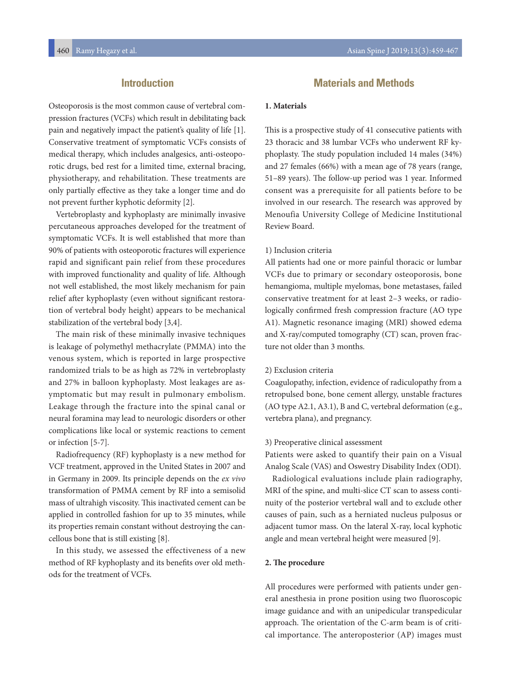# **Introduction**

Osteoporosis is the most common cause of vertebral compression fractures (VCFs) which result in debilitating back pain and negatively impact the patient's quality of life [1]. Conservative treatment of symptomatic VCFs consists of medical therapy, which includes analgesics, anti-osteoporotic drugs, bed rest for a limited time, external bracing, physiotherapy, and rehabilitation. These treatments are only partially effective as they take a longer time and do not prevent further kyphotic deformity [2].

Vertebroplasty and kyphoplasty are minimally invasive percutaneous approaches developed for the treatment of symptomatic VCFs. It is well established that more than 90% of patients with osteoporotic fractures will experience rapid and significant pain relief from these procedures with improved functionality and quality of life. Although not well established, the most likely mechanism for pain relief after kyphoplasty (even without significant restoration of vertebral body height) appears to be mechanical stabilization of the vertebral body [3,4].

The main risk of these minimally invasive techniques is leakage of polymethyl methacrylate (PMMA) into the venous system, which is reported in large prospective randomized trials to be as high as 72% in vertebroplasty and 27% in balloon kyphoplasty. Most leakages are asymptomatic but may result in pulmonary embolism. Leakage through the fracture into the spinal canal or neural foramina may lead to neurologic disorders or other complications like local or systemic reactions to cement or infection [5-7].

Radiofrequency (RF) kyphoplasty is a new method for VCF treatment, approved in the United States in 2007 and in Germany in 2009. Its principle depends on the *ex vivo* transformation of PMMA cement by RF into a semisolid mass of ultrahigh viscosity. This inactivated cement can be applied in controlled fashion for up to 35 minutes, while its properties remain constant without destroying the cancellous bone that is still existing [8].

In this study, we assessed the effectiveness of a new method of RF kyphoplasty and its benefits over old methods for the treatment of VCFs.

# **Materials and Methods**

### **1. Materials**

This is a prospective study of 41 consecutive patients with 23 thoracic and 38 lumbar VCFs who underwent RF kyphoplasty. The study population included 14 males (34%) and 27 females (66%) with a mean age of 78 years (range, 51–89 years). The follow-up period was 1 year. Informed consent was a prerequisite for all patients before to be involved in our research. The research was approved by Menoufia University College of Medicine Institutional Review Board.

### 1) Inclusion criteria

All patients had one or more painful thoracic or lumbar VCFs due to primary or secondary osteoporosis, bone hemangioma, multiple myelomas, bone metastases, failed conservative treatment for at least 2–3 weeks, or radiologically confirmed fresh compression fracture (AO type A1). Magnetic resonance imaging (MRI) showed edema and X-ray/computed tomography (CT) scan, proven fracture not older than 3 months.

### 2) Exclusion criteria

Coagulopathy, infection, evidence of radiculopathy from a retropulsed bone, bone cement allergy, unstable fractures (AO type A2.1, A3.1), B and C, vertebral deformation (e.g., vertebra plana), and pregnancy.

### 3) Preoperative clinical assessment

Patients were asked to quantify their pain on a Visual Analog Scale (VAS) and Oswestry Disability Index (ODI).

Radiological evaluations include plain radiography, MRI of the spine, and multi-slice CT scan to assess continuity of the posterior vertebral wall and to exclude other causes of pain, such as a herniated nucleus pulposus or adjacent tumor mass. On the lateral X-ray, local kyphotic angle and mean vertebral height were measured [9].

### **2. The procedure**

All procedures were performed with patients under general anesthesia in prone position using two fluoroscopic image guidance and with an unipedicular transpedicular approach. The orientation of the C-arm beam is of critical importance. The anteroposterior (AP) images must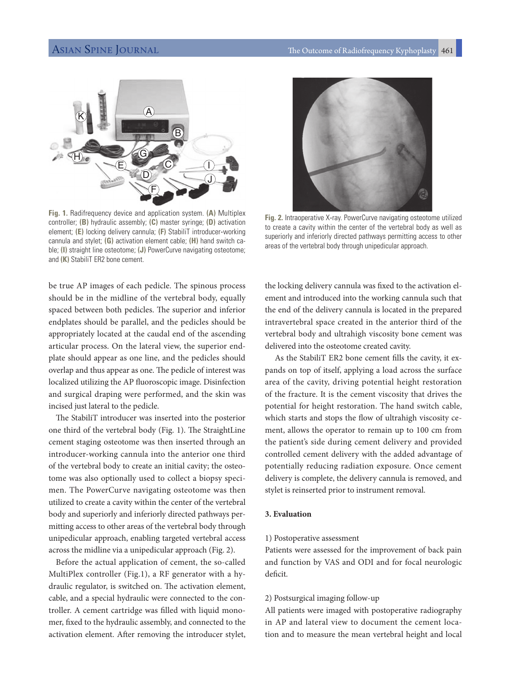

**Fig. 1.** Radifrequency device and application system. **(A)** Multiplex controller; **(B)** hydraulic assembly; **(C)** master syringe; **(D)** activation element; **(E)** locking delivery cannula; **(F)** StabiliT introducer-working cannula and stylet; **(G)** activation element cable; **(H)** hand switch cable; **(I)** straight line osteotome; **(J)** PowerCurve navigating osteotome; and **(K)** StabiliT ER2 bone cement.

be true AP images of each pedicle. The spinous process should be in the midline of the vertebral body, equally spaced between both pedicles. The superior and inferior endplates should be parallel, and the pedicles should be appropriately located at the caudal end of the ascending articular process. On the lateral view, the superior endplate should appear as one line, and the pedicles should overlap and thus appear as one. The pedicle of interest was localized utilizing the AP fluoroscopic image. Disinfection and surgical draping were performed, and the skin was incised just lateral to the pedicle.

The StabiliT introducer was inserted into the posterior one third of the vertebral body (Fig. 1). The StraightLine cement staging osteotome was then inserted through an introducer-working cannula into the anterior one third of the vertebral body to create an initial cavity; the osteotome was also optionally used to collect a biopsy specimen. The PowerCurve navigating osteotome was then utilized to create a cavity within the center of the vertebral body and superiorly and inferiorly directed pathways permitting access to other areas of the vertebral body through unipedicular approach, enabling targeted vertebral access across the midline via a unipedicular approach (Fig. 2).

Before the actual application of cement, the so-called MultiPlex controller (Fig.1), a RF generator with a hydraulic regulator, is switched on. The activation element, cable, and a special hydraulic were connected to the controller. A cement cartridge was filled with liquid monomer, fixed to the hydraulic assembly, and connected to the activation element. After removing the introducer stylet,



**Fig. 2.** Intraoperative X-ray. PowerCurve navigating osteotome utilized to create a cavity within the center of the vertebral body as well as superiorly and inferiorly directed pathways permitting access to other areas of the vertebral body through unipedicular approach.

the locking delivery cannula was fixed to the activation element and introduced into the working cannula such that the end of the delivery cannula is located in the prepared intravertebral space created in the anterior third of the vertebral body and ultrahigh viscosity bone cement was delivered into the osteotome created cavity.

 As the StabiliT ER2 bone cement fills the cavity, it expands on top of itself, applying a load across the surface area of the cavity, driving potential height restoration of the fracture. It is the cement viscosity that drives the potential for height restoration. The hand switch cable, which starts and stops the flow of ultrahigh viscosity cement, allows the operator to remain up to 100 cm from the patient's side during cement delivery and provided controlled cement delivery with the added advantage of potentially reducing radiation exposure. Once cement delivery is complete, the delivery cannula is removed, and stylet is reinserted prior to instrument removal.

### **3. Evaluation**

### 1) Postoperative assessment

Patients were assessed for the improvement of back pain and function by VAS and ODI and for focal neurologic deficit.

### 2) Postsurgical imaging follow-up

All patients were imaged with postoperative radiography in AP and lateral view to document the cement location and to measure the mean vertebral height and local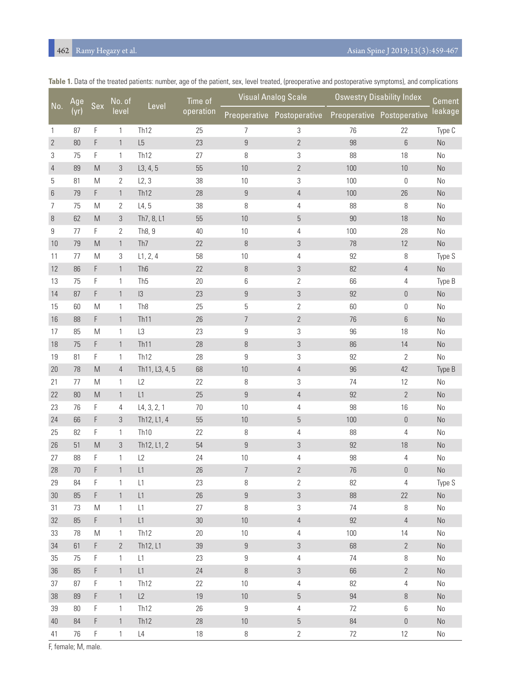# Ramy Hegazy et al. Asian Spine J 2019;13(3):459-467

| No.            | Age    | Sex         | No. of<br>level | Level               | Time of<br>operation |                  | <b>Visual Analog Scale</b>                            | <b>Oswestry Disability Index</b> | Cement           |          |
|----------------|--------|-------------|-----------------|---------------------|----------------------|------------------|-------------------------------------------------------|----------------------------------|------------------|----------|
|                | (yr)   |             |                 |                     |                      |                  | Preoperative Postoperative Preoperative Postoperative |                                  |                  | leakage  |
| $\mathbf{1}$   | 87     | F           | 1               | Th <sub>12</sub>    | 25                   | 7                | 3                                                     | 76                               | 22               | Type C   |
| $\overline{2}$ | $80\,$ | F           | $\mathbf{1}$    | L5                  | 23                   | $\boldsymbol{9}$ | $\overline{2}$                                        | $98\,$                           | $6\phantom{1}$   | $\rm No$ |
| 3              | 75     | F           | 1               | Th <sub>12</sub>    | 27                   | 8                | 3                                                     | 88                               | 18               | No       |
| 4              | 89     | M           | 3               | L3, 4, 5            | 55                   | 10               | $\mathbf{2}$                                          | 100                              | 10               | $\rm No$ |
| 5              | 81     | M           | 2               | L2, 3               | 38                   | $10$             | 3                                                     | 100                              | 0                | No       |
| 6              | 79     | F           | $\mathbf{1}$    | Th <sub>12</sub>    | 28                   | $\boldsymbol{9}$ | $\overline{4}$                                        | 100                              | 26               | $\rm No$ |
| 7              | 75     | M           | $\overline{2}$  | L4, 5               | 38                   | $\, 8$           | 4                                                     | 88                               | 8                | No       |
| 8              | 62     | M           | 3               | Th7, 8, L1          | 55                   | $10$             | $\mathbf 5$                                           | 90                               | 18               | No       |
| 9              | 77     | F           | 2               | Th <sub>8</sub> , 9 | 40                   | $10$             | 4                                                     | 100                              | 28               | No       |
| 10             | 79     | M           | $\mathbf{1}$    | Th7                 | 22                   | $\, 8$           | 3                                                     | 78                               | 12               | $\rm No$ |
| 11             | 77     | M           | 3               | L1, 2, 4            | 58                   | 10               | 4                                                     | 92                               | 8                | Type S   |
| 12             | 86     | F           | $\mathbf{1}$    | Th <sub>6</sub>     | 22                   | $\, 8$           | 3                                                     | 82                               | $\overline{4}$   | No       |
| 13             | 75     | F           | 1               | Th <sub>5</sub>     | 20                   | $6\,$            | 2                                                     | 66                               | 4                | Type B   |
| 14             | 87     | F           | $\mathbf{1}$    | 3                   | 23                   | 9                | 3                                                     | 92                               | $\theta$         | No       |
| 15             | 60     | M           | 1               | Th <sub>8</sub>     | 25                   | $\mathbf 5$      | $\overline{2}$                                        | 60                               | 0                | No       |
| 16             | 88     | F           | $\mathbf{1}$    | Th <sub>11</sub>    | 26                   | $\overline{7}$   | $\overline{2}$                                        | 76                               | $6\phantom{1}$   | $\rm No$ |
| 17             | 85     | M           | 1               | L3                  | 23                   | $\boldsymbol{9}$ | 3                                                     | 96                               | 18               | No       |
| 18             | 75     | F           | $\mathbf{1}$    | Th <sub>11</sub>    | 28                   | 8                | $\sqrt{3}$                                            | 86                               | 14               | $\rm No$ |
| 19             | 81     | F           | 1               | Th <sub>12</sub>    | 28                   | $\boldsymbol{9}$ | 3                                                     | 92                               | $\mathbf{2}$     | $\rm No$ |
| 20             | 78     | M           | $\overline{4}$  | Th11, L3, 4, 5      | 68                   | $10\,$           | 4                                                     | 96                               | 42               | Type B   |
| 21             | 77     | M           | $\mathbf{1}$    | L2                  | 22                   | 8                | 3                                                     | 74                               | 12               | No       |
| 22             | 80     | M           | $\mathbf{1}$    | L1                  | 25                   | $\boldsymbol{9}$ | $\overline{4}$                                        | 92                               | $\mathbf{2}$     | No       |
| 23             | 76     | F           | 4               | L4, 3, 2, 1         | 70                   | 10               | 4                                                     | 98                               | 16               | No       |
| 24             | 66     | F           | 3               | Th12, L1, 4         | 55                   | $10\,$           | 5                                                     | 100                              | $\boldsymbol{0}$ | $\rm No$ |
| 25             | 82     | F           | 1               | Th <sub>10</sub>    | 22                   | $\, 8$           | 4                                                     | 88                               | 4                | $\rm No$ |
| 26             | 51     | M           | 3               | Th12, L1, 2         | 54                   | $\boldsymbol{9}$ | 3                                                     | 92                               | 18               | No       |
| 27             | 88     | F           | 1               | L2                  | 24                   | 10               | 4                                                     | 98                               | 4                | $\rm No$ |
| 28             | 70     | F           | $\mathbf{1}$    | L1                  | 26                   | $\overline{7}$   | $\overline{2}$                                        | 76                               | $\boldsymbol{0}$ | $\rm No$ |
| 29             | 84     | F           | 1               | L1                  | 23                   | 8                | 2                                                     | 82                               | 4                | Type S   |
| $30\,$         | 85     | $\mathsf F$ | $\mathbf{1}$    | L1                  | $26\,$               | $\boldsymbol{9}$ | $\mathfrak{Z}$                                        | 88                               | 22               | No       |
| 31             | 73     | M           | 1               | L1                  | 27                   | 8                | 3                                                     | 74                               | 8                | No       |
| 32             | 85     | F           | $\mathbf{1}$    | L1                  | $30\,$               | 10               | $\overline{4}$                                        | 92                               | $\overline{4}$   | $\rm No$ |
| 33             | 78     | M           | 1               | Th <sub>12</sub>    | 20                   | $10$             | 4                                                     | 100                              | 14               | No       |
| 34             | 61     | F           | $\mathbf{2}$    | Th12, L1            | 39                   | $\boldsymbol{9}$ | 3                                                     | 68                               | $\overline{2}$   | $\rm No$ |
| 35             | 75     | $\mathsf F$ | $\mathbf{1}$    | L1                  | 23                   | $\boldsymbol{9}$ | 4                                                     | 74                               | 8                | No       |
| 36             | 85     | F           | $\mathbf{1}$    | L1                  | 24                   | $\, 8$           | $\sqrt{3}$                                            | 66                               | $\mathbf{2}$     | No       |
| 37             | 87     | $\mathsf F$ | $\mathbf{1}$    | Th <sub>12</sub>    | 22                   | 10               | 4                                                     | 82                               | $\overline{4}$   | $\rm No$ |
| 38             | 89     | F           | $\mathbf{1}$    | L2                  | 19                   | $10$             | $\mathbf 5$                                           | 94                               | 8                | $\rm No$ |
| 39             | 80     | F           | $\mathbf{1}$    | Th <sub>12</sub>    | 26                   | $\boldsymbol{9}$ | 4                                                     | 72                               | 6                | $\rm No$ |
| $40\,$         | 84     | F           | $\mathbf{1}$    | Th <sub>12</sub>    | 28                   | $10\,$           | $\overline{5}$                                        | 84                               | $\boldsymbol{0}$ | $\rm No$ |
| 41             | 76     | $\mathsf F$ | $\mathbf{1}$    | L4                  | 18                   | $\, 8$           | $\overline{2}$                                        | 72                               | 12               | No       |

**Table 1.** Data of the treated patients: number, age of the patient, sex, level treated, (preoperative and postoperative symptoms), and complications

F, female; M, male.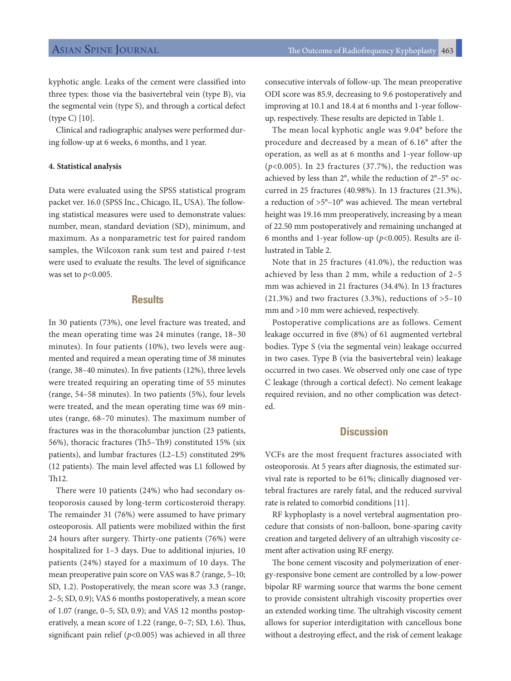kyphotic angle. Leaks of the cement were classified into three types: those via the basivertebral vein (type B), via the segmental vein (type S), and through a cortical defect (type C) [10].

Clinical and radiographic analyses were performed during follow-up at 6 weeks, 6 months, and 1 year.

### **4. Statistical analysis**

Data were evaluated using the SPSS statistical program packet ver. 16.0 (SPSS Inc., Chicago, IL, USA). The following statistical measures were used to demonstrate values: number, mean, standard deviation (SD), minimum, and maximum. As a nonparametric test for paired random samples, the Wilcoxon rank sum test and paired *t*-test were used to evaluate the results. The level of significance was set to *p*<0.005.

### **Results**

In 30 patients (73%), one level fracture was treated, and the mean operating time was 24 minutes (range, 18–30 minutes). In four patients (10%), two levels were augmented and required a mean operating time of 38 minutes (range, 38–40 minutes). In five patients (12%), three levels were treated requiring an operating time of 55 minutes (range, 54–58 minutes). In two patients (5%), four levels were treated, and the mean operating time was 69 minutes (range, 68–70 minutes). The maximum number of fractures was in the thoracolumbar junction (23 patients, 56%), thoracic fractures (Th5–Th9) constituted 15% (six patients), and lumbar fractures (L2–L5) constituted 29% (12 patients). The main level affected was L1 followed by Th12.

There were 10 patients (24%) who had secondary osteoporosis caused by long-term corticosteroid therapy. The remainder 31 (76%) were assumed to have primary osteoporosis. All patients were mobilized within the first 24 hours after surgery. Thirty-one patients (76%) were hospitalized for 1–3 days. Due to additional injuries, 10 patients (24%) stayed for a maximum of 10 days. The mean preoperative pain score on VAS was 8.7 (range, 5–10; SD, 1.2). Postoperatively, the mean score was 3.3 (range, 2–5; SD, 0.9); VAS 6 months postoperatively, a mean score of 1.07 (range, 0–5; SD, 0.9); and VAS 12 months postoperatively, a mean score of 1.22 (range, 0–7; SD, 1.6). Thus, significant pain relief (*p*<0.005) was achieved in all three consecutive intervals of follow-up. The mean preoperative ODI score was 85.9, decreasing to 9.6 postoperatively and improving at 10.1 and 18.4 at 6 months and 1-year followup, respectively. These results are depicted in Table 1.

The mean local kyphotic angle was 9.04° before the procedure and decreased by a mean of 6.16° after the operation, as well as at 6 months and 1-year follow-up (*p*<0.005). In 23 fractures (37.7%), the reduction was achieved by less than 2°, while the reduction of 2°–5° occurred in 25 fractures (40.98%). In 13 fractures (21.3%), a reduction of >5°–10° was achieved. The mean vertebral height was 19.16 mm preoperatively, increasing by a mean of 22.50 mm postoperatively and remaining unchanged at 6 months and 1-year follow-up (*p*<0.005). Results are illustrated in Table 2.

Note that in 25 fractures (41.0%), the reduction was achieved by less than 2 mm, while a reduction of 2–5 mm was achieved in 21 fractures (34.4%). In 13 fractures  $(21.3\%)$  and two fractures  $(3.3\%)$ , reductions of  $>5-10$ mm and >10 mm were achieved, respectively.

Postoperative complications are as follows. Cement leakage occurred in five (8%) of 61 augmented vertebral bodies. Type S (via the segmental vein) leakage occurred in two cases. Type B (via the basivertebral vein) leakage occurred in two cases. We observed only one case of type C leakage (through a cortical defect). No cement leakage required revision, and no other complication was detected.

## **Discussion**

VCFs are the most frequent fractures associated with osteoporosis. At 5 years after diagnosis, the estimated survival rate is reported to be 61%; clinically diagnosed vertebral fractures are rarely fatal, and the reduced survival rate is related to comorbid conditions [11].

RF kyphoplasty is a novel vertebral augmentation procedure that consists of non-balloon, bone-sparing cavity creation and targeted delivery of an ultrahigh viscosity cement after activation using RF energy.

The bone cement viscosity and polymerization of energy-responsive bone cement are controlled by a low-power bipolar RF warming source that warms the bone cement to provide consistent ultrahigh viscosity properties over an extended working time. The ultrahigh viscosity cement allows for superior interdigitation with cancellous bone without a destroying effect, and the risk of cement leakage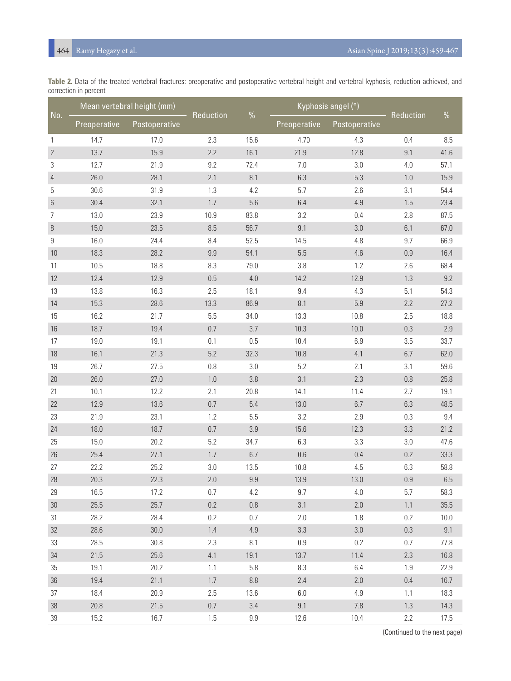| Table 2. Data of the treated vertebral fractures: preoperative and postoperative vertebral height and vertebral kyphosis, reduction achieved, and |  |  |  |  |  |
|---------------------------------------------------------------------------------------------------------------------------------------------------|--|--|--|--|--|
| correction in percent                                                                                                                             |  |  |  |  |  |

|                | Mean vertebral height (mm) |               |           |          | Kyphosis angel (°) |               |           |      |
|----------------|----------------------------|---------------|-----------|----------|--------------------|---------------|-----------|------|
| No.            | Preoperative               | Postoperative | Reduction | %        | Preoperative       | Postoperative | Reduction | $\%$ |
| 1              | 14.7                       | 17.0          | 2.3       | 15.6     | 4.70               | 4.3           | 0.4       | 8.5  |
| $\overline{2}$ | 13.7                       | 15.9          | 2.2       | 16.1     | 21.9               | 12.8          | 9.1       | 41.6 |
| 3              | 12.7                       | 21.9          | 9.2       | 72.4     | $7.0\,$            | 3.0           | 4.0       | 57.1 |
| $\overline{4}$ | 26.0                       | 28.1          | 2.1       | 8.1      | 6.3                | 5.3           | 1.0       | 15.9 |
| 5              | 30.6                       | 31.9          | 1.3       | 4.2      | 5.7                | 2.6           | 3.1       | 54.4 |
| $\,6\,$        | 30.4                       | 32.1          | 1.7       | 5.6      | 6.4                | 4.9           | 1.5       | 23.4 |
| 7              | 13.0                       | 23.9          | 10.9      | 83.8     | 3.2                | 0.4           | 2.8       | 87.5 |
| $\, 8$         | 15.0                       | 23.5          | 8.5       | 56.7     | 9.1                | $3.0\,$       | 6.1       | 67.0 |
| 9              | 16.0                       | 24.4          | 8.4       | 52.5     | 14.5               | 4.8           | 9.7       | 66.9 |
| 10             | 18.3                       | 28.2          | 9.9       | 54.1     | 5.5                | 4.6           | 0.9       | 16.4 |
| 11             | 10.5                       | 18.8          | 8.3       | 79.0     | 3.8                | 1.2           | 2.6       | 68.4 |
| 12             | 12.4                       | 12.9          | $0.5\,$   | 4.0      | 14.2               | 12.9          | 1.3       | 9.2  |
| 13             | 13.8                       | 16.3          | 2.5       | 18.1     | 9.4                | 4.3           | 5.1       | 54.3 |
| 14             | 15.3                       | 28.6          | 13.3      | 86.9     | 8.1                | $5.9\,$       | 2.2       | 27.2 |
| 15             | 16.2                       | 21.7          | 5.5       | 34.0     | 13.3               | 10.8          | 2.5       | 18.8 |
| 16             | 18.7                       | 19.4          | $0.7\,$   | 3.7      | 10.3               | 10.0          | 0.3       | 2.9  |
| 17             | 19.0                       | 19.1          | 0.1       | 0.5      | 10.4               | 6.9           | 3.5       | 33.7 |
| 18             | 16.1                       | 21.3          | 5.2       | 32.3     | 10.8               | 4.1           | 6.7       | 62.0 |
| 19             | 26.7                       | 27.5          | $0.8\,$   | 3.0      | 5.2                | 2.1           | 3.1       | 59.6 |
| 20             | 26.0                       | 27.0          | $1.0\,$   | 3.8      | 3.1                | 2.3           | 0.8       | 25.8 |
| 21             | 10.1                       | 12.2          | 2.1       | 20.8     | 14.1               | 11.4          | 2.7       | 19.1 |
| 22             | 12.9                       | 13.6          | 0.7       | 5.4      | 13.0               | 6.7           | 6.3       | 48.5 |
| 23             | 21.9                       | 23.1          | 1.2       | 5.5      | 3.2                | 2.9           | 0.3       | 9.4  |
| 24             | 18.0                       | 18.7          | $0.7\,$   | 3.9      | 15.6               | 12.3          | 3.3       | 21.2 |
| 25             | 15.0                       | 20.2          | 5.2       | 34.7     | 6.3                | 3.3           | 3.0       | 47.6 |
| 26             | 25.4                       | 27.1          | $1.7\,$   | 6.7      | $0.6\,$            | 0.4           | 0.2       | 33.3 |
| 27             | 22.2                       | 25.2          | 3.0       | 13.5     | 10.8               | 4.5           | 6.3       | 58.8 |
| 28             | 20.3                       | 22.3          | $2.0\,$   | 9.9      | 13.9               | 13.0          | $0.9\,$   | 6.5  |
| 29             | 16.5                       | 17.2          | 0.7       | 4.2      | 9.7                | 4.0           | 5.7       | 58.3 |
| 30             | 25.5                       | 25.7          | $0.2\,$   | $0.8\,$  | 3.1                | $2.0$         | 1.1       | 35.5 |
| 31             | 28.2                       | 28.4          | $0.2\,$   | 0.7      | 2.0                | 1.8           | 0.2       | 10.0 |
| 32             | 28.6                       | 30.0          | $1.4\,$   | 4.9      | 3.3                | $3.0\,$       | $0.3\,$   | 9.1  |
| 33             | 28.5                       | 30.8          | 2.3       | 8.1      | $0.9\,$            | 0.2           | 0.7       | 77.8 |
| 34             | 21.5                       | 25.6          | 4.1       | 19.1     | 13.7               | 11.4          | 2.3       | 16.8 |
| 35             | 19.1                       | 20.2          | 1.1       | 5.8      | $8.3\,$            | 6.4           | 1.9       | 22.9 |
| 36             | 19.4                       | 21.1          | $1.7\,$   | $\, 8.8$ | 2.4                | $2.0\,$       | 0.4       | 16.7 |
| 37             | 18.4                       | 20.9          | 2.5       | 13.6     | 6.0                | 4.9           | 1.1       | 18.3 |
| 38             | 20.8                       | $21.5$        | $0.7\,$   | 3.4      | 9.1                | 7.8           | 1.3       | 14.3 |
| 39             | 15.2                       | 16.7          | 1.5       | 9.9      | 12.6               | 10.4          | 2.2       | 17.5 |

(Continued to the next page)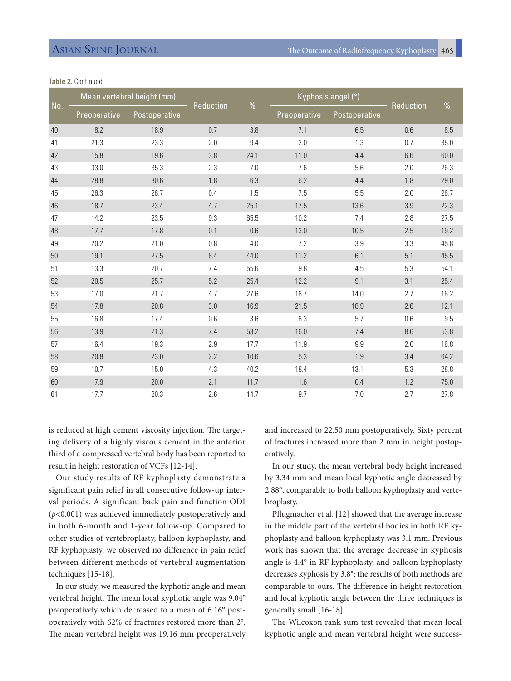| No. |              | Mean vertebral height (mm) |           |               | Kyphosis angel (°) | <b>Reduction</b> |     |               |
|-----|--------------|----------------------------|-----------|---------------|--------------------|------------------|-----|---------------|
|     | Preoperative | Postoperative              | Reduction | $\frac{0}{0}$ | Preoperative       | Postoperative    |     | $\frac{0}{0}$ |
| 40  | 18.2         | 18.9                       | 0.7       | 3.8           | 7.1                | 6.5              | 0.6 | 8.5           |
| 41  | 21.3         | 23.3                       | 2.0       | 9.4           | 2.0                | 1.3              | 0.7 | 35.0          |
| 42  | 15.8         | 19.6                       | 3.8       | 24.1          | 11.0               | 4.4              | 6.6 | 60.0          |
| 43  | 33.0         | 35.3                       | 2.3       | 7.0           | 7.6                | 5.6              | 2.0 | 26.3          |
| 44  | 28.8         | 30.6                       | 1.8       | 6.3           | 6.2                | 4.4              | 1.8 | 29.0          |
| 45  | 26.3         | 26.7                       | 0.4       | 1.5           | 7.5                | 5.5              | 2.0 | 26.7          |
| 46  | 18.7         | 23.4                       | 4.7       | 25.1          | 17.5               | 13.6             | 3.9 | 22.3          |
| 47  | 14.2         | 23.5                       | 9.3       | 65.5          | 10.2               | 7.4              | 2.8 | 27.5          |
| 48  | 17.7         | 17.8                       | 0.1       | 0.6           | 13.0               | 10.5             | 2.5 | 19.2          |
| 49  | 20.2         | 21.0                       | 0.8       | 4.0           | 7.2                | 3.9              | 3.3 | 45.8          |
| 50  | 19.1         | 27.5                       | 8.4       | 44.0          | 11.2               | 6.1              | 5.1 | 45.5          |
| 51  | 13.3         | 20.7                       | 7.4       | 55.6          | 9.8                | 4.5              | 5.3 | 54.1          |
| 52  | 20.5         | 25.7                       | 5.2       | 25.4          | 12.2               | 9.1              | 3.1 | 25.4          |
| 53  | 17.0         | 21.7                       | 4.7       | 27.6          | 16.7               | 14.0             | 2.7 | 16.2          |
| 54  | 17.8         | 20.8                       | 3.0       | 16.9          | 21.5               | 18.9             | 2.6 | 12.1          |
| 55  | 16.8         | 17.4                       | 0.6       | 3.6           | 6.3                | 5.7              | 0.6 | 9.5           |
| 56  | 13.9         | 21.3                       | 7.4       | 53.2          | 16.0               | 7.4              | 8.6 | 53.8          |
| 57  | 16.4         | 19.3                       | 2.9       | 17.7          | 11.9               | 9.9              | 2.0 | 16.8          |
| 58  | 20.8         | 23.0                       | 2.2       | 10.6          | 5.3                | 1.9              | 3.4 | 64.2          |
| 59  | 10.7         | 15.0                       | 4.3       | 40.2          | 18.4               | 13.1             | 5.3 | 28.8          |
| 60  | 17.9         | 20.0                       | 2.1       | 11.7          | 1.6                | 0.4              | 1.2 | 75.0          |
| 61  | 17.7         | 20.3                       | 2.6       | 14.7          | 9.7                | 7.0              | 2.7 | 27.8          |

### **Table 2.** Continued

is reduced at high cement viscosity injection. The targeting delivery of a highly viscous cement in the anterior third of a compressed vertebral body has been reported to result in height restoration of VCFs [12-14].

Our study results of RF kyphoplasty demonstrate a significant pain relief in all consecutive follow-up interval periods. A significant back pain and function ODI (*p*<0.001) was achieved immediately postoperatively and in both 6-month and 1-year follow-up. Compared to other studies of vertebroplasty, balloon kyphoplasty, and RF kyphoplasty, we observed no difference in pain relief between different methods of vertebral augmentation techniques [15-18].

In our study, we measured the kyphotic angle and mean vertebral height. The mean local kyphotic angle was 9.04° preoperatively which decreased to a mean of 6.16° postoperatively with 62% of fractures restored more than 2°. The mean vertebral height was 19.16 mm preoperatively

and increased to 22.50 mm postoperatively. Sixty percent of fractures increased more than 2 mm in height postoperatively.

In our study, the mean vertebral body height increased by 3.34 mm and mean local kyphotic angle decreased by 2.88°, comparable to both balloon kyphoplasty and vertebroplasty.

Pflugmacher et al*.* [12] showed that the average increase in the middle part of the vertebral bodies in both RF kyphoplasty and balloon kyphoplasty was 3.1 mm. Previous work has shown that the average decrease in kyphosis angle is 4.4° in RF kyphoplasty, and balloon kyphoplasty decreases kyphosis by 3.8°; the results of both methods are comparable to ours. The difference in height restoration and local kyphotic angle between the three techniques is generally small [16-18].

The Wilcoxon rank sum test revealed that mean local kyphotic angle and mean vertebral height were success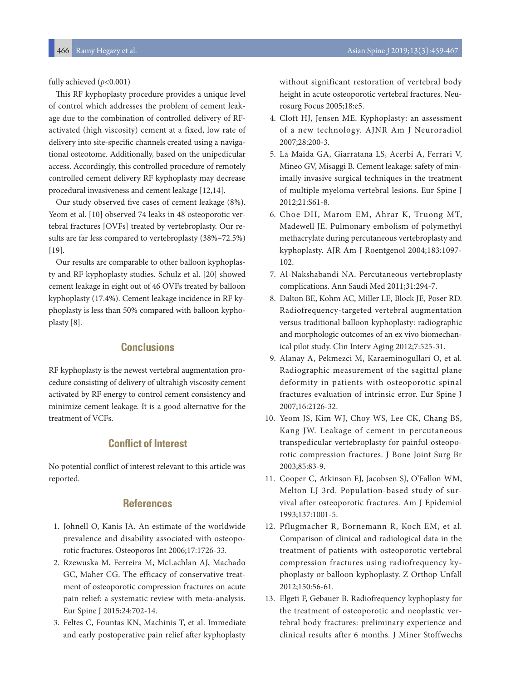fully achieved (*p*<0.001)

This RF kyphoplasty procedure provides a unique level of control which addresses the problem of cement leakage due to the combination of controlled delivery of RFactivated (high viscosity) cement at a fixed, low rate of delivery into site-specific channels created using a navigational osteotome. Additionally, based on the unipedicular access. Accordingly, this controlled procedure of remotely controlled cement delivery RF kyphoplasty may decrease procedural invasiveness and cement leakage [12,14].

Our study observed five cases of cement leakage (8%). Yeom et al. [10] observed 74 leaks in 48 osteoporotic vertebral fractures [OVFs] treated by vertebroplasty. Our results are far less compared to vertebroplasty (38%–72.5%) [19].

Our results are comparable to other balloon kyphoplasty and RF kyphoplasty studies. Schulz et al. [20] showed cement leakage in eight out of 46 OVFs treated by balloon kyphoplasty (17.4%). Cement leakage incidence in RF kyphoplasty is less than 50% compared with balloon kyphoplasty [8].

# **Conclusions**

RF kyphoplasty is the newest vertebral augmentation procedure consisting of delivery of ultrahigh viscosity cement activated by RF energy to control cement consistency and minimize cement leakage. It is a good alternative for the treatment of VCFs.

# **Conflict of Interest**

No potential conflict of interest relevant to this article was reported.

# **References**

- 1. Johnell O, Kanis JA. An estimate of the worldwide prevalence and disability associated with osteoporotic fractures. Osteoporos Int 2006;17:1726-33.
- 2. Rzewuska M, Ferreira M, McLachlan AJ, Machado GC, Maher CG. The efficacy of conservative treatment of osteoporotic compression fractures on acute pain relief: a systematic review with meta-analysis. Eur Spine J 2015;24:702-14.
- 3. Feltes C, Fountas KN, Machinis T, et al. Immediate and early postoperative pain relief after kyphoplasty

without significant restoration of vertebral body height in acute osteoporotic vertebral fractures. Neurosurg Focus 2005;18:e5.

- 4. Cloft HJ, Jensen ME. Kyphoplasty: an assessment of a new technology. AJNR Am J Neuroradiol 2007;28:200-3.
- 5. La Maida GA, Giarratana LS, Acerbi A, Ferrari V, Mineo GV, Misaggi B. Cement leakage: safety of minimally invasive surgical techniques in the treatment of multiple myeloma vertebral lesions. Eur Spine J 2012;21:S61-8.
- 6. Choe DH, Marom EM, Ahrar K, Truong MT, Madewell JE. Pulmonary embolism of polymethyl methacrylate during percutaneous vertebroplasty and kyphoplasty. AJR Am J Roentgenol 2004;183:1097- 102.
- 7. Al-Nakshabandi NA. Percutaneous vertebroplasty complications. Ann Saudi Med 2011;31:294-7.
- 8. Dalton BE, Kohm AC, Miller LE, Block JE, Poser RD. Radiofrequency-targeted vertebral augmentation versus traditional balloon kyphoplasty: radiographic and morphologic outcomes of an ex vivo biomechanical pilot study. Clin Interv Aging 2012;7:525-31.
- 9. Alanay A, Pekmezci M, Karaeminogullari O, et al. Radiographic measurement of the sagittal plane deformity in patients with osteoporotic spinal fractures evaluation of intrinsic error. Eur Spine J 2007;16:2126-32.
- 10. Yeom JS, Kim WJ, Choy WS, Lee CK, Chang BS, Kang JW. Leakage of cement in percutaneous transpedicular vertebroplasty for painful osteoporotic compression fractures. J Bone Joint Surg Br 2003;85:83-9.
- 11. Cooper C, Atkinson EJ, Jacobsen SJ, O'Fallon WM, Melton LJ 3rd. Population-based study of survival after osteoporotic fractures. Am J Epidemiol 1993;137:1001-5.
- 12. Pflugmacher R, Bornemann R, Koch EM, et al. Comparison of clinical and radiological data in the treatment of patients with osteoporotic vertebral compression fractures using radiofrequency kyphoplasty or balloon kyphoplasty. Z Orthop Unfall 2012;150:56-61.
- 13. Elgeti F, Gebauer B. Radiofrequency kyphoplasty for the treatment of osteoporotic and neoplastic vertebral body fractures: preliminary experience and clinical results after 6 months. J Miner Stoffwechs